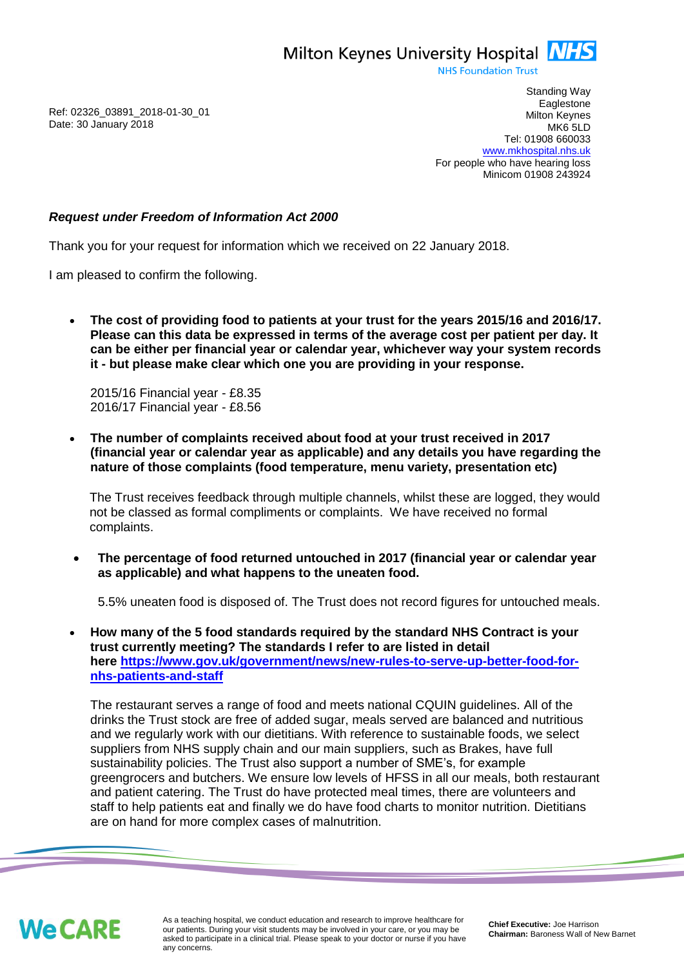Milton Keynes University Hospital **NHS** 

**NHS Foundation Trust** 

Ref: 02326\_03891\_2018-01-30\_01 Date: 30 January 2018

Standing Way **Eaglestone** Milton Keynes MK6 5LD Tel: 01908 660033 [www.mkhospital.nhs.uk](http://www.mkhospital.nhs.uk/) For people who have hearing loss Minicom 01908 243924

## *Request under Freedom of Information Act 2000*

Thank you for your request for information which we received on 22 January 2018.

I am pleased to confirm the following.

 **The cost of providing food to patients at your trust for the years 2015/16 and 2016/17. Please can this data be expressed in terms of the average cost per patient per day. It can be either per financial year or calendar year, whichever way your system records it - but please make clear which one you are providing in your response.**

2015/16 Financial year - £8.35 2016/17 Financial year - £8.56

 **The number of complaints received about food at your trust received in 2017 (financial year or calendar year as applicable) and any details you have regarding the nature of those complaints (food temperature, menu variety, presentation etc)**

The Trust receives feedback through multiple channels, whilst these are logged, they would not be classed as formal compliments or complaints. We have received no formal complaints.

 **The percentage of food returned untouched in 2017 (financial year or calendar year as applicable) and what happens to the uneaten food.**

5.5% uneaten food is disposed of. The Trust does not record figures for untouched meals.

 **How many of the 5 food standards required by the standard NHS Contract is your trust currently meeting? The standards I refer to are listed in detail here [https://www.gov.uk/government/news/new-rules-to-serve-up-better-food-for](https://www.gov.uk/government/news/new-rules-to-serve-up-better-food-for-nhs-patients-and-staff)[nhs-patients-and-staff](https://www.gov.uk/government/news/new-rules-to-serve-up-better-food-for-nhs-patients-and-staff)**

The restaurant serves a range of food and meets national CQUIN guidelines. All of the drinks the Trust stock are free of added sugar, meals served are balanced and nutritious and we regularly work with our dietitians. With reference to sustainable foods, we select suppliers from NHS supply chain and our main suppliers, such as Brakes, have full sustainability policies. The Trust also support a number of SME's, for example greengrocers and butchers. We ensure low levels of HFSS in all our meals, both restaurant and patient catering. The Trust do have protected meal times, there are volunteers and staff to help patients eat and finally we do have food charts to monitor nutrition. Dietitians are on hand for more complex cases of malnutrition.



As a teaching hospital, we conduct education and research to improve healthcare for our patients. During your visit students may be involved in your care, or you may be asked to participate in a clinical trial. Please speak to your doctor or nurse if you have any concerns.

**Chief Executive:** Joe Harrison **Chairman:** Baroness Wall of New Barnet